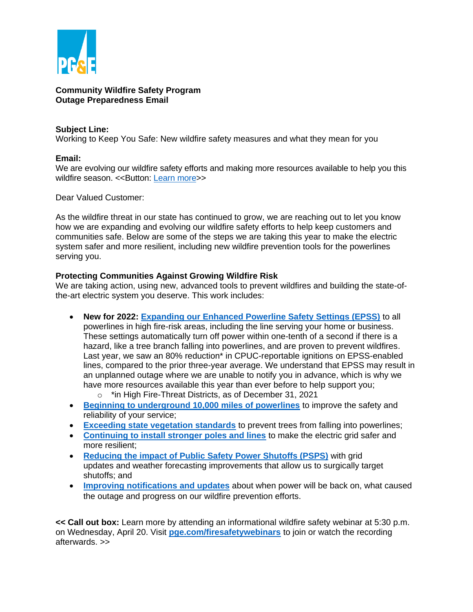

#### **Community Wildfire Safety Program Outage Preparedness Email**

### **Subject Line:**

Working to Keep You Safe: New wildfire safety measures and what they mean for you

# **Email:**

We are evolving our wildfire safety efforts and making more resources available to help you this wildfire season. << Button: [Learn more>](https://www.pge.com/en_US/safety/emergency-preparedness/natural-disaster/wildfires/wildfire-safety.page)>

Dear Valued Customer:

As the wildfire threat in our state has continued to grow, we are reaching out to let you know how we are expanding and evolving our wildfire safety efforts to help keep customers and communities safe. Below are some of the steps we are taking this year to make the electric system safer and more resilient, including new wildfire prevention tools for the powerlines serving you.

## **Protecting Communities Against Growing Wildfire Risk**

We are taking action, using new, advanced tools to prevent wildfires and building the state-ofthe-art electric system you deserve. This work includes:

- **New for 2022: [Expanding our Enhanced Powerline Safety Settings \(EPSS\)](https://www.pge.com/en_US/residential/outages/enhanced-powerline-safety-settings/enhanced-powerline-safety-settings.page)** to all powerlines in high fire-risk areas, including the line serving your home or business. These settings automatically turn off power within one-tenth of a second if there is a hazard, like a tree branch falling into powerlines, and are proven to prevent wildfires. Last year, we saw an 80% reduction\* in CPUC-reportable ignitions on EPSS-enabled lines, compared to the prior three-year average. We understand that EPSS may result in an unplanned outage where we are unable to notify you in advance, which is why we have more resources available this year than ever before to help support you;
	- o \*in High Fire-Threat Districts, as of December 31, 2021
- **[Beginning to underground 10,000 miles of powerlines](https://www.pge.com/en_US/residential/customer-service/other-services/electric-undergrounding-program/electric-undergrounding-program.page)** to improve the safety and reliability of your service;
- **[Exceeding state vegetation standards](https://www.pge.com/en_US/safety/emergency-preparedness/natural-disaster/wildfires/vegetation-management.page)** to prevent trees from falling into powerlines;
- **[Continuing to install stronger poles and lines](https://www.pge.com/en_US/safety/emergency-preparedness/natural-disaster/wildfires/cwsp-system-hardening.page?WT.mc_id=Vanity_systemhardening)** to make the electric grid safer and more resilient;
- **[Reducing the impact of Public Safety Power Shutoffs \(PSPS\)](https://www.pge.com/en_US/residential/outages/public-safety-power-shuttoff/minimizing-psps-events.page)** with grid updates and weather forecasting improvements that allow us to surgically target shutoffs; and
- **[Improving notifications and updates](https://www.pge.com/en_US/safety/emergency-preparedness/natural-disaster/wildfires/community-wildfire-safety.page?WT.pgeac=Wildfire_CrossPromo-Community)** about when power will be back on, what caused the outage and progress on our wildfire prevention efforts.

**<< Call out box:** Learn more by attending an informational wildfire safety webinar at 5:30 p.m. on Wednesday, April 20. Visit **[pge.com/firesafetywebinars](https://www.pge.com/firesafetywebinars)** to join or watch the recording afterwards. >>